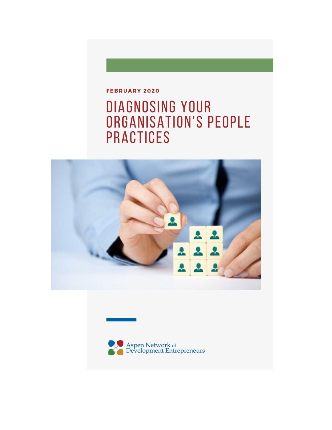#### FEBRUARY 2020

# DIAGNOSING YOUR ORGANISATION'S PEOPLE **PRACTICES**



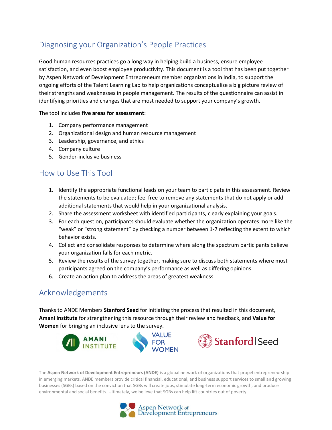# Diagnosing your Organization's People Practices

Good human resources practices go a long way in helping build a business, ensure employee satisfaction, and even boost employee productivity. This document is a tool that has been put together by Aspen Network of Development Entrepreneurs member organizations in India, to support the ongoing efforts of the Talent Learning Lab to help organizations conceptualize a big picture review of their strengths and weaknesses in people management. The results of the questionnaire can assist in identifying priorities and changes that are most needed to support your company's growth.

The tool includes **five areas for assessment**:

- 1. Company performance management
- 2. Organizational design and human resource management
- 3. Leadership, governance, and ethics
- 4. Company culture
- 5. Gender-inclusive business

#### How to Use This Tool

- 1. Identify the appropriate functional leads on your team to participate in this assessment. Review the statements to be evaluated; feel free to remove any statements that do not apply or add additional statements that would help in your organizational analysis.
- 2. Share the assessment worksheet with identified participants, clearly explaining your goals.
- 3. For each question, participants should evaluate whether the organization operates more like the "weak" or "strong statement" by checking a number between 1-7 reflecting the extent to which behavior exists.
- 4. Collect and consolidate responses to determine where along the spectrum participants believe your organization falls for each metric.
- 5. Review the results of the survey together, making sure to discuss both statements where most participants agreed on the company's performance as well as differing opinions.
- 6. Create an action plan to address the areas of greatest weakness.

### Acknowledgements

Thanks to ANDE Members **Stanford Seed** for initiating the process that resulted in this document, **Amani Institute** for strengthening this resource through their review and feedback, and **Value for Women** for bringing an inclusive lens to the survey.



The **Aspen Network of Development Entrepreneurs (ANDE)** is a global network of organizations that propel entrepreneurship in emerging markets. ANDE members provide critical financial, educational, and business support services to small and growing businesses (SGBs) based on the conviction that SGBs will create jobs, stimulate long-term economic growth, and produce environmental and social benefits. Ultimately, we believe that SGBs can help lift countries out of poverty.

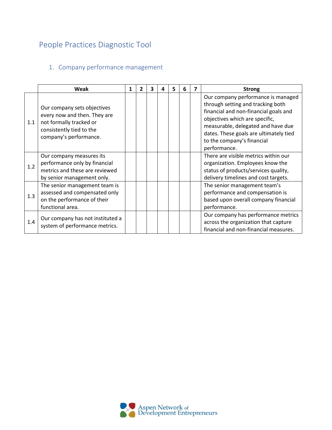# People Practices Diagnostic Tool

#### 1. Company performance management

|     | Weak                                                                                                                                         | 1 | 2 | 3 | 4 | 5 | 6 | 7 | <b>Strong</b>                                                                                                                                                                                                                                                                    |  |
|-----|----------------------------------------------------------------------------------------------------------------------------------------------|---|---|---|---|---|---|---|----------------------------------------------------------------------------------------------------------------------------------------------------------------------------------------------------------------------------------------------------------------------------------|--|
| 1.1 | Our company sets objectives<br>every now and then. They are<br>not formally tracked or<br>consistently tied to the<br>company's performance. |   |   |   |   |   |   |   | Our company performance is managed<br>through setting and tracking both<br>financial and non-financial goals and<br>objectives which are specific,<br>measurable, delegated and have due<br>dates. These goals are ultimately tied<br>to the company's financial<br>performance. |  |
| 1.2 | Our company measures its<br>performance only by financial<br>metrics and these are reviewed<br>by senior management only.                    |   |   |   |   |   |   |   | There are visible metrics within our<br>organization. Employees know the<br>status of products/services quality,<br>delivery timelines and cost targets.                                                                                                                         |  |
| 1.3 | The senior management team is<br>assessed and compensated only<br>on the performance of their<br>functional area.                            |   |   |   |   |   |   |   | The senior management team's<br>performance and compensation is<br>based upon overall company financial<br>performance.                                                                                                                                                          |  |
| 1.4 | Our company has not instituted a<br>system of performance metrics.                                                                           |   |   |   |   |   |   |   | Our company has performance metrics<br>across the organization that capture<br>financial and non-financial measures.                                                                                                                                                             |  |

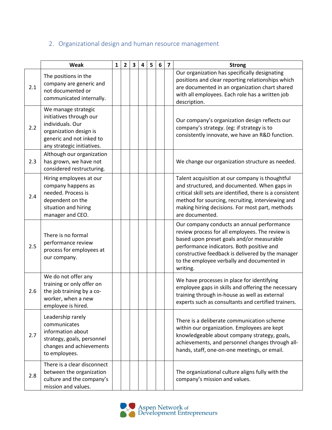# 2. Organizational design and human resource management

|     | Weak                                                                                                                                                   | $\mathbf{1}$ | $\overline{2}$ | $\overline{\mathbf{3}}$ | 4 | 5 | 6 | $\overline{ }$ | <b>Strong</b>                                                                                                                                                                                                                                                                                          |
|-----|--------------------------------------------------------------------------------------------------------------------------------------------------------|--------------|----------------|-------------------------|---|---|---|----------------|--------------------------------------------------------------------------------------------------------------------------------------------------------------------------------------------------------------------------------------------------------------------------------------------------------|
| 2.1 | The positions in the<br>company are generic and<br>not documented or<br>communicated internally.                                                       |              |                |                         |   |   |   |                | Our organization has specifically designating<br>positions and clear reporting relationships which<br>are documented in an organization chart shared<br>with all employees. Each role has a written job<br>description.                                                                                |
| 2.2 | We manage strategic<br>initiatives through our<br>individuals. Our<br>organization design is<br>generic and not inked to<br>any strategic initiatives. |              |                |                         |   |   |   |                | Our company's organization design reflects our<br>company's strategy. (eg: if strategy is to<br>consistently innovate, we have an R&D function.                                                                                                                                                        |
| 2.3 | Although our organization<br>has grown, we have not<br>considered restructuring.                                                                       |              |                |                         |   |   |   |                | We change our organization structure as needed.                                                                                                                                                                                                                                                        |
| 2.4 | Hiring employees at our<br>company happens as<br>needed. Process is<br>dependent on the<br>situation and hiring<br>manager and CEO.                    |              |                |                         |   |   |   |                | Talent acquisition at our company is thoughtful<br>and structured, and documented. When gaps in<br>critical skill sets are identified, there is a consistent<br>method for sourcing, recruiting, interviewing and<br>making hiring decisions. For most part, methods<br>are documented.                |
| 2.5 | There is no formal<br>performance review<br>process for employees at<br>our company.                                                                   |              |                |                         |   |   |   |                | Our company conducts an annual performance<br>review process for all employees. The review is<br>based upon preset goals and/or measurable<br>performance indicators. Both positive and<br>constructive feedback is delivered by the manager<br>to the employee verbally and documented in<br>writing. |
| 2.6 | We do not offer any<br>training or only offer on<br>the job training by a co-<br>worker, when a new<br>employee is hired.                              |              |                |                         |   |   |   |                | We have processes in place for identifying<br>employee gaps in skills and offering the necessary<br>training through in-house as well as external<br>experts such as consultants and certified trainers.                                                                                               |
| 2.7 | Leadership rarely<br>communicates<br>information about<br>strategy, goals, personnel<br>changes and achievements<br>to employees.                      |              |                |                         |   |   |   |                | There is a deliberate communication scheme<br>within our organization. Employees are kept<br>knowledgeable about company strategy, goals,<br>achievements, and personnel changes through all-<br>hands, staff, one-on-one meetings, or email.                                                          |
| 2.8 | There is a clear disconnect<br>between the organization<br>culture and the company's<br>mission and values.                                            |              |                |                         |   |   |   |                | The organizational culture aligns fully with the<br>company's mission and values.                                                                                                                                                                                                                      |

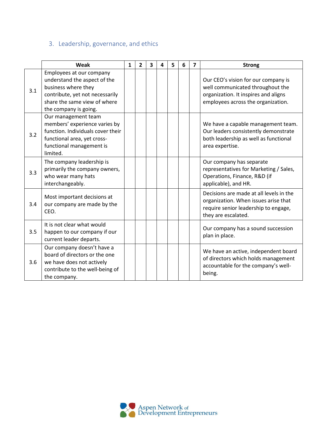# 3. Leadership, governance, and ethics

|     | Weak                                                                                                                                                                        | $\mathbf{1}$ | $\overline{2}$ | 3 | 4 | 5 | 6 | 7 | <b>Strong</b>                                                                                                                                         |  |
|-----|-----------------------------------------------------------------------------------------------------------------------------------------------------------------------------|--------------|----------------|---|---|---|---|---|-------------------------------------------------------------------------------------------------------------------------------------------------------|--|
| 3.1 | Employees at our company<br>understand the aspect of the<br>business where they<br>contribute, yet not necessarily<br>share the same view of where<br>the company is going. |              |                |   |   |   |   |   | Our CEO's vision for our company is<br>well communicated throughout the<br>organization. It inspires and aligns<br>employees across the organization. |  |
| 3.2 | Our management team<br>members' experience varies by<br>function. Individuals cover their<br>functional area, yet cross-<br>functional management is<br>limited.            |              |                |   |   |   |   |   | We have a capable management team.<br>Our leaders consistently demonstrate<br>both leadership as well as functional<br>area expertise.                |  |
| 3.3 | The company leadership is<br>primarily the company owners,<br>who wear many hats<br>interchangeably.                                                                        |              |                |   |   |   |   |   | Our company has separate<br>representatives for Marketing / Sales,<br>Operations, Finance, R&D (if<br>applicable), and HR.                            |  |
| 3.4 | Most important decisions at<br>our company are made by the<br>CEO.                                                                                                          |              |                |   |   |   |   |   | Decisions are made at all levels in the<br>organization. When issues arise that<br>require senior leadership to engage,<br>they are escalated.        |  |
| 3.5 | It is not clear what would<br>happen to our company if our<br>current leader departs.                                                                                       |              |                |   |   |   |   |   | Our company has a sound succession<br>plan in place.                                                                                                  |  |
| 3.6 | Our company doesn't have a<br>board of directors or the one<br>we have does not actively<br>contribute to the well-being of<br>the company.                                 |              |                |   |   |   |   |   | We have an active, independent board<br>of directors which holds management<br>accountable for the company's well-<br>being.                          |  |

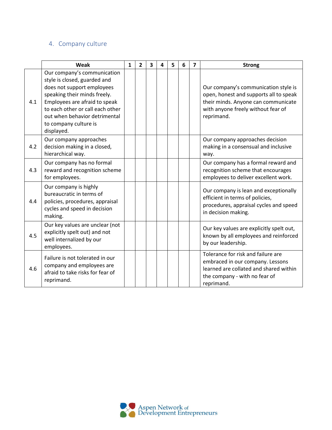#### 4. Company culture

|     | Weak                                                                                                                                                                                                                                                                   | $\mathbf{1}$ | $\overline{2}$ | 3 | 4 | 5 | 6 | $\overline{7}$ | <b>Strong</b>                                                                                                                                                             |
|-----|------------------------------------------------------------------------------------------------------------------------------------------------------------------------------------------------------------------------------------------------------------------------|--------------|----------------|---|---|---|---|----------------|---------------------------------------------------------------------------------------------------------------------------------------------------------------------------|
| 4.1 | Our company's communication<br>style is closed, guarded and<br>does not support employees<br>speaking their minds freely.<br>Employees are afraid to speak<br>to each other or call each other<br>out when behavior detrimental<br>to company culture is<br>displayed. |              |                |   |   |   |   |                | Our company's communication style is<br>open, honest and supports all to speak<br>their minds. Anyone can communicate<br>with anyone freely without fear of<br>reprimand. |
| 4.2 | Our company approaches<br>decision making in a closed,<br>hierarchical way.                                                                                                                                                                                            |              |                |   |   |   |   |                | Our company approaches decision<br>making in a consensual and inclusive<br>way.                                                                                           |
| 4.3 | Our company has no formal<br>reward and recognition scheme<br>for employees.                                                                                                                                                                                           |              |                |   |   |   |   |                | Our company has a formal reward and<br>recognition scheme that encourages<br>employees to deliver excellent work.                                                         |
| 4.4 | Our company is highly<br>bureaucratic in terms of<br>policies, procedures, appraisal<br>cycles and speed in decision<br>making.                                                                                                                                        |              |                |   |   |   |   |                | Our company is lean and exceptionally<br>efficient in terms of policies,<br>procedures, appraisal cycles and speed<br>in decision making.                                 |
| 4.5 | Our key values are unclear (not<br>explicitly spelt out) and not<br>well internalized by our<br>employees.                                                                                                                                                             |              |                |   |   |   |   |                | Our key values are explicitly spelt out,<br>known by all employees and reinforced<br>by our leadership.                                                                   |
| 4.6 | Failure is not tolerated in our<br>company and employees are<br>afraid to take risks for fear of<br>reprimand.                                                                                                                                                         |              |                |   |   |   |   |                | Tolerance for risk and failure are<br>embraced in our company. Lessons<br>learned are collated and shared within<br>the company - with no fear of<br>reprimand.           |

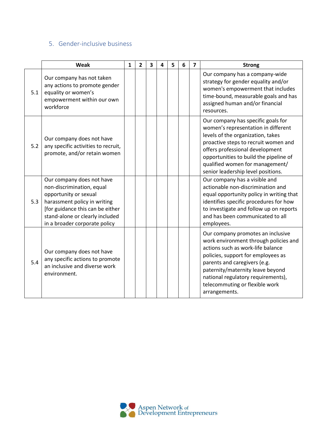#### 5. Gender-inclusive business

|     | Weak                                                                                                                                                                                                                    | $\mathbf{1}$ | $\overline{2}$ | $\overline{\mathbf{3}}$ | 4 | 5 | 6 | $\overline{\mathbf{z}}$ | <b>Strong</b>                                                                                                                                                                                                                                                                                                      |
|-----|-------------------------------------------------------------------------------------------------------------------------------------------------------------------------------------------------------------------------|--------------|----------------|-------------------------|---|---|---|-------------------------|--------------------------------------------------------------------------------------------------------------------------------------------------------------------------------------------------------------------------------------------------------------------------------------------------------------------|
| 5.1 | Our company has not taken<br>any actions to promote gender<br>equality or women's<br>empowerment within our own<br>workforce                                                                                            |              |                |                         |   |   |   |                         | Our company has a company-wide<br>strategy for gender equality and/or<br>women's empowerment that includes<br>time-bound, measurable goals and has<br>assigned human and/or financial<br>resources.                                                                                                                |
| 5.2 | Our company does not have<br>any specific activities to recruit,<br>promote, and/or retain women                                                                                                                        |              |                |                         |   |   |   |                         | Our company has specific goals for<br>women's representation in different<br>levels of the organization, takes<br>proactive steps to recruit women and<br>offers professional development<br>opportunities to build the pipeline of<br>qualified women for management/<br>senior leadership level positions.       |
| 5.3 | Our company does not have<br>non-discrimination, equal<br>opportunity or sexual<br>harassment policy in writing<br>[for guidance this can be either<br>stand-alone or clearly included<br>in a broader corporate policy |              |                |                         |   |   |   |                         | Our company has a visible and<br>actionable non-discrimination and<br>equal opportunity policy in writing that<br>identifies specific procedures for how<br>to investigate and follow up on reports<br>and has been communicated to all<br>employees.                                                              |
| 5.4 | Our company does not have<br>any specific actions to promote<br>an inclusive and diverse work<br>environment.                                                                                                           |              |                |                         |   |   |   |                         | Our company promotes an inclusive<br>work environment through policies and<br>actions such as work-life balance<br>policies, support for employees as<br>parents and caregivers (e.g.<br>paternity/maternity leave beyond<br>national regulatory requirements),<br>telecommuting or flexible work<br>arrangements. |